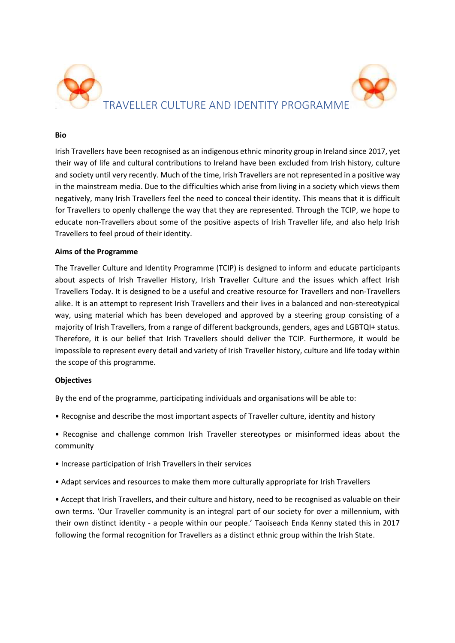

#### **Bio**

Irish Travellers have been recognised as an indigenous ethnic minority group in Ireland since 2017, yet their way of life and cultural contributions to Ireland have been excluded from Irish history, culture and society until very recently. Much of the time, Irish Travellers are not represented in a positive way in the mainstream media. Due to the difficulties which arise from living in a society which views them negatively, many Irish Travellers feel the need to conceal their identity. This means that it is difficult for Travellers to openly challenge the way that they are represented. Through the TCIP, we hope to educate non-Travellers about some of the positive aspects of Irish Traveller life, and also help Irish Travellers to feel proud of their identity.

### **Aims of the Programme**

The Traveller Culture and Identity Programme (TCIP) is designed to inform and educate participants about aspects of Irish Traveller History, Irish Traveller Culture and the issues which affect Irish Travellers Today. It is designed to be a useful and creative resource for Travellers and non-Travellers alike. It is an attempt to represent Irish Travellers and their lives in a balanced and non-stereotypical way, using material which has been developed and approved by a steering group consisting of a majority of Irish Travellers, from a range of different backgrounds, genders, ages and LGBTQI+ status. Therefore, it is our belief that Irish Travellers should deliver the TCIP. Furthermore, it would be impossible to represent every detail and variety of Irish Traveller history, culture and life today within the scope of this programme.

## **Objectives**

By the end of the programme, participating individuals and organisations will be able to:

- Recognise and describe the most important aspects of Traveller culture, identity and history
- Recognise and challenge common Irish Traveller stereotypes or misinformed ideas about the community
- Increase participation of Irish Travellers in their services
- Adapt services and resources to make them more culturally appropriate for Irish Travellers

• Accept that Irish Travellers, and their culture and history, need to be recognised as valuable on their own terms. 'Our Traveller community is an integral part of our society for over a millennium, with their own distinct identity - a people within our people.' Taoiseach Enda Kenny stated this in 2017 following the formal recognition for Travellers as a distinct ethnic group within the Irish State.